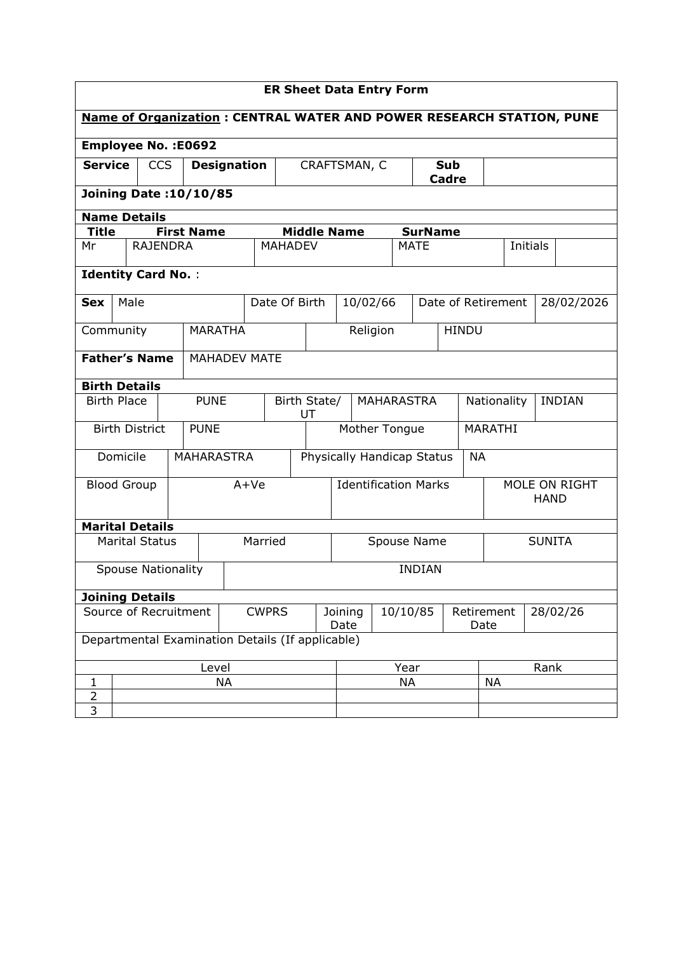| <b>ER Sheet Data Entry Form</b>                                             |                               |                           |                    |                   |  |                             |                                         |           |                     |                        |             |                |                              |                    |                 |               |            |
|-----------------------------------------------------------------------------|-------------------------------|---------------------------|--------------------|-------------------|--|-----------------------------|-----------------------------------------|-----------|---------------------|------------------------|-------------|----------------|------------------------------|--------------------|-----------------|---------------|------------|
| <b>Name of Organization: CENTRAL WATER AND POWER RESEARCH STATION, PUNE</b> |                               |                           |                    |                   |  |                             |                                         |           |                     |                        |             |                |                              |                    |                 |               |            |
| <b>Employee No.: E0692</b>                                                  |                               |                           |                    |                   |  |                             |                                         |           |                     |                        |             |                |                              |                    |                 |               |            |
| <b>Service</b><br><b>CCS</b>                                                |                               |                           | <b>Designation</b> |                   |  | CRAFTSMAN, C                |                                         |           | <b>Sub</b><br>Cadre |                        |             |                |                              |                    |                 |               |            |
|                                                                             | <b>Joining Date: 10/10/85</b> |                           |                    |                   |  |                             |                                         |           |                     |                        |             |                |                              |                    |                 |               |            |
| <b>Name Details</b>                                                         |                               |                           |                    |                   |  |                             |                                         |           |                     |                        |             |                |                              |                    |                 |               |            |
| Title                                                                       |                               |                           |                    | <b>First Name</b> |  |                             |                                         |           | <b>Middle Name</b>  |                        |             | <b>SurName</b> |                              |                    |                 |               |            |
| Mr                                                                          |                               | <b>RAJENDRA</b>           |                    |                   |  |                             | <b>MAHADEV</b>                          |           |                     |                        | <b>MATE</b> |                |                              |                    | <b>Initials</b> |               |            |
|                                                                             |                               | <b>Identity Card No.:</b> |                    |                   |  |                             |                                         |           |                     |                        |             |                |                              |                    |                 |               |            |
| <b>Sex</b>                                                                  | Male                          |                           |                    |                   |  |                             | Date Of Birth                           |           | 10/02/66            |                        |             |                |                              | Date of Retirement |                 |               | 28/02/2026 |
| Community                                                                   |                               |                           |                    | <b>MARATHA</b>    |  |                             |                                         |           |                     | Religion               |             |                | <b>HINDU</b>                 |                    |                 |               |            |
|                                                                             |                               | <b>Father's Name</b>      |                    | MAHADEV MATE      |  |                             |                                         |           |                     |                        |             |                |                              |                    |                 |               |            |
| <b>Birth Details</b>                                                        |                               |                           |                    |                   |  |                             |                                         |           |                     |                        |             |                |                              |                    |                 |               |            |
| <b>Birth Place</b>                                                          |                               |                           |                    | <b>PUNE</b>       |  |                             | Birth State/<br><b>MAHARASTRA</b><br>UT |           |                     |                        | Nationality |                |                              |                    |                 | <b>INDIAN</b> |            |
|                                                                             |                               | <b>Birth District</b>     |                    | <b>PUNE</b>       |  |                             | Mother Tongue                           |           |                     |                        |             |                | <b>MARATHI</b>               |                    |                 |               |            |
|                                                                             | Domicile                      |                           |                    | <b>MAHARASTRA</b> |  |                             | Physically Handicap Status              |           |                     |                        |             | <b>NA</b>      |                              |                    |                 |               |            |
| <b>Blood Group</b>                                                          |                               |                           |                    |                   |  | $A+Ve$                      | <b>Identification Marks</b>             |           |                     |                        |             |                | MOLE ON RIGHT<br><b>HAND</b> |                    |                 |               |            |
|                                                                             |                               | <b>Marital Details</b>    |                    |                   |  |                             |                                         |           |                     |                        |             |                |                              |                    |                 |               |            |
|                                                                             |                               | <b>Marital Status</b>     |                    |                   |  | Married                     | Spouse Name                             |           |                     |                        |             | <b>SUNITA</b>  |                              |                    |                 |               |            |
|                                                                             |                               | <b>Spouse Nationality</b> |                    |                   |  |                             |                                         |           |                     |                        |             | <b>INDIAN</b>  |                              |                    |                 |               |            |
|                                                                             |                               | <b>Joining Details</b>    |                    |                   |  |                             |                                         |           |                     |                        |             |                |                              |                    |                 |               |            |
| Source of Recruitment<br><b>CWPRS</b>                                       |                               |                           |                    |                   |  | 10/10/85<br>Joining<br>Date |                                         |           | Date                | Retirement<br>28/02/26 |             |                |                              |                    |                 |               |            |
| Departmental Examination Details (If applicable)                            |                               |                           |                    |                   |  |                             |                                         |           |                     |                        |             |                |                              |                    |                 |               |            |
| Level                                                                       |                               |                           |                    |                   |  |                             | Year                                    |           |                     | Rank                   |             |                |                              |                    |                 |               |            |
| 1                                                                           |                               |                           |                    | <b>NA</b>         |  |                             |                                         | <b>NA</b> |                     |                        |             |                | <b>NA</b>                    |                    |                 |               |            |
| $\overline{2}$                                                              |                               |                           |                    |                   |  |                             |                                         |           |                     |                        |             |                |                              |                    |                 |               |            |
| 3                                                                           |                               |                           |                    |                   |  |                             |                                         |           |                     |                        |             |                |                              |                    |                 |               |            |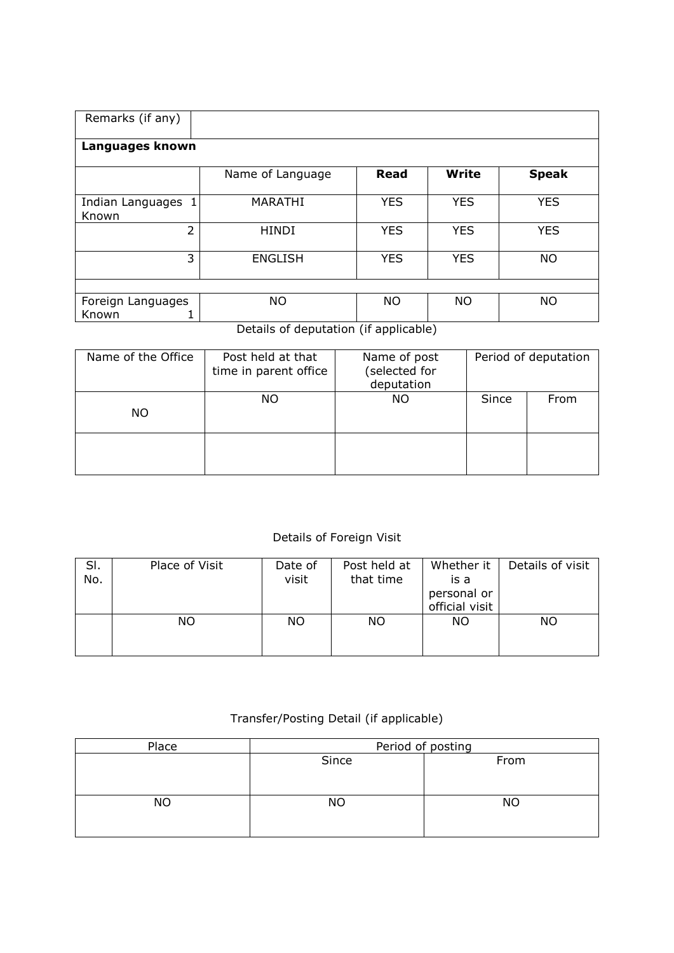| Remarks (if any)            |                  |            |              |              |  |  |  |  |  |  |  |
|-----------------------------|------------------|------------|--------------|--------------|--|--|--|--|--|--|--|
| Languages known             |                  |            |              |              |  |  |  |  |  |  |  |
|                             | Name of Language | Read       | <b>Write</b> | <b>Speak</b> |  |  |  |  |  |  |  |
| Indian Languages 1<br>Known | <b>MARATHI</b>   | <b>YES</b> | <b>YES</b>   | <b>YES</b>   |  |  |  |  |  |  |  |
| $\overline{2}$              | <b>HINDI</b>     | <b>YES</b> | <b>YES</b>   | <b>YES</b>   |  |  |  |  |  |  |  |
| 3                           | <b>ENGLISH</b>   | <b>YES</b> | <b>YES</b>   | <b>NO</b>    |  |  |  |  |  |  |  |
|                             |                  |            |              |              |  |  |  |  |  |  |  |
| Foreign Languages<br>Known  | <b>NO</b>        | <b>NO</b>  | <b>NO</b>    | <b>NO</b>    |  |  |  |  |  |  |  |

Details of deputation (if applicable)

| Name of the Office | Post held at that<br>time in parent office | Name of post<br>(selected for<br>deputation | Period of deputation |      |  |  |
|--------------------|--------------------------------------------|---------------------------------------------|----------------------|------|--|--|
| NO.                | NO.                                        | ΝO                                          | Since                | From |  |  |
|                    |                                            |                                             |                      |      |  |  |

## Details of Foreign Visit

| SI.<br>No. | Place of Visit | Date of<br>visit | Post held at<br>that time | Whether it<br>is a<br>personal or<br>official visit | Details of visit |
|------------|----------------|------------------|---------------------------|-----------------------------------------------------|------------------|
|            | NO.            | ΝO               | <b>NO</b>                 | <b>NO</b>                                           | NO               |

## Transfer/Posting Detail (if applicable)

| Place     | Period of posting |           |  |  |  |  |  |
|-----------|-------------------|-----------|--|--|--|--|--|
|           | Since             | From      |  |  |  |  |  |
| <b>NO</b> | NΟ                | <b>NO</b> |  |  |  |  |  |